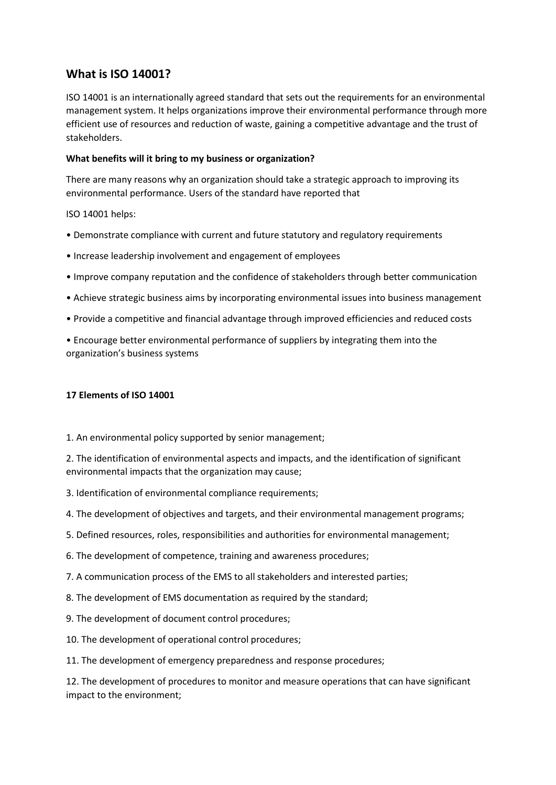## **What is ISO 14001?**

ISO 14001 is an internationally agreed standard that sets out the requirements for an environmental management system. It helps organizations improve their environmental performance through more efficient use of resources and reduction of waste, gaining a competitive advantage and the trust of stakeholders.

## **What benefits will it bring to my business or organization?**

There are many reasons why an organization should take a strategic approach to improving its environmental performance. Users of the standard have reported that

## ISO 14001 helps:

- Demonstrate compliance with current and future statutory and regulatory requirements
- Increase leadership involvement and engagement of employees
- Improve company reputation and the confidence of stakeholders through better communication
- Achieve strategic business aims by incorporating environmental issues into business management
- Provide a competitive and financial advantage through improved efficiencies and reduced costs

• Encourage better environmental performance of suppliers by integrating them into the organization's business systems

## **17 Elements of ISO 14001**

1. An environmental policy supported by senior management;

2. The identification of environmental aspects and impacts, and the identification of significant environmental impacts that the organization may cause;

- 3. Identification of environmental compliance requirements;
- 4. The development of objectives and targets, and their environmental management programs;
- 5. Defined resources, roles, responsibilities and authorities for environmental management;
- 6. The development of competence, training and awareness procedures;
- 7. A communication process of the EMS to all stakeholders and interested parties;
- 8. The development of EMS documentation as required by the standard;
- 9. The development of document control procedures;
- 10. The development of operational control procedures;
- 11. The development of emergency preparedness and response procedures;

12. The development of procedures to monitor and measure operations that can have significant impact to the environment;